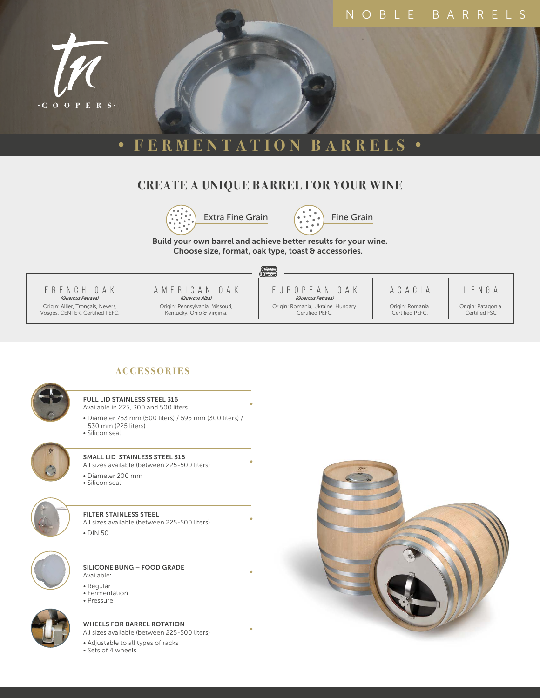

# **• FERMENTATION BARRELS •**

## **CREATE A UNIQUE BARREL FOR YOUR WINE**





Build your own barrel and achieve better results for your wine. Choose size, format, oak type, toast & accessories.





Origin: Pennsylvania, Missouri, Kentucky, Ohio & Virginia.



Origin: Romania, Ukraine, Hungary. Certified PEFC.

ACACIA Origin: Romania. Certified PEFC.

LENGA

Origin: Patagonia. Certified FSC



#### FULL LID STAINLESS STEEL 316

**ACCE SSOR I E S**

- Available in 225, 300 and 500 liters
- Diameter 753 mm (500 liters) / 595 mm (300 liters) / 530 mm (225 liters)
- Silicon seal



### All sizes available (between 225-500 liters)

SMALL LID STAINLESS STEEL 316

- Diameter 200 mm
- Silicon seal



#### FILTER STAINLESS STEEL

All sizes available (between 225-500 liters) • DIN 50



#### SILICONE BUNG – FOOD GRADE Available:

- 
- Regular • Fermentation
- Pressure



#### WHEELS FOR BARREL ROTATION

All sizes available (between 225-500 liters)

- Adjustable to all types of racks
- Sets of 4 wheels